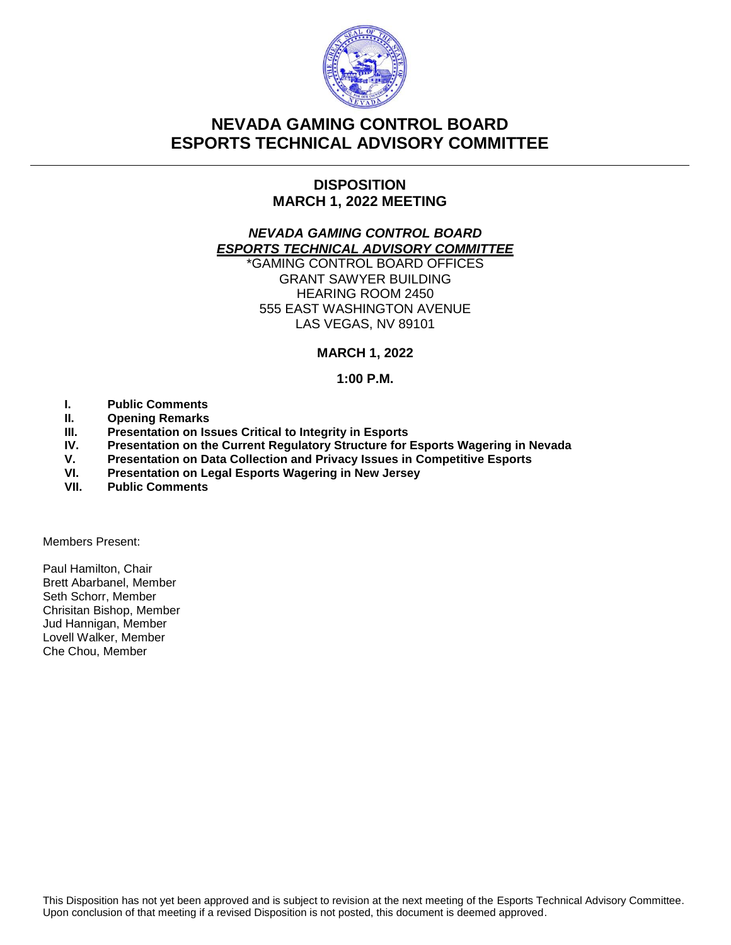

# **NEVADA GAMING CONTROL BOARD ESPORTS TECHNICAL ADVISORY COMMITTEE**

## **DISPOSITION MARCH 1, 2022 MEETING**

## *NEVADA GAMING CONTROL BOARD ESPORTS TECHNICAL ADVISORY COMMITTEE*

\*GAMING CONTROL BOARD OFFICES GRANT SAWYER BUILDING HEARING ROOM 2450 555 EAST WASHINGTON AVENUE LAS VEGAS, NV 89101

## **MARCH 1, 2022**

## **1:00 P.M.**

- **I. Public Comments**
- **II. Opening Remarks**
- **III. Presentation on Issues Critical to Integrity in Esports**
- **IV. Presentation on the Current Regulatory Structure for Esports Wagering in Nevada**
- **V. Presentation on Data Collection and Privacy Issues in Competitive Esports**
- **VI. Presentation on Legal Esports Wagering in New Jersey**
- **VII. Public Comments**

Members Present:

Paul Hamilton, Chair Brett Abarbanel, Member Seth Schorr, Member Chrisitan Bishop, Member Jud Hannigan, Member Lovell Walker, Member Che Chou, Member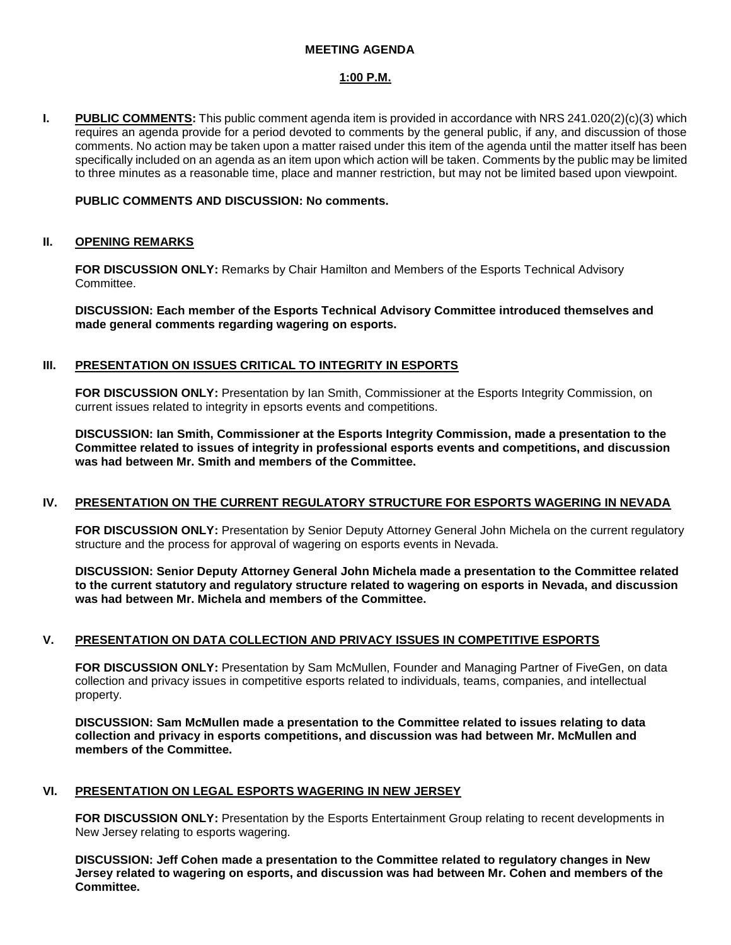#### **MEETING AGENDA**

#### **1:00 P.M.**

**I. PUBLIC COMMENTS:** This public comment agenda item is provided in accordance with NRS 241.020(2)(c)(3) which requires an agenda provide for a period devoted to comments by the general public, if any, and discussion of those comments. No action may be taken upon a matter raised under this item of the agenda until the matter itself has been specifically included on an agenda as an item upon which action will be taken. Comments by the public may be limited to three minutes as a reasonable time, place and manner restriction, but may not be limited based upon viewpoint.

#### **PUBLIC COMMENTS AND DISCUSSION: No comments.**

#### **II. OPENING REMARKS**

**FOR DISCUSSION ONLY:** Remarks by Chair Hamilton and Members of the Esports Technical Advisory Committee.

**DISCUSSION: Each member of the Esports Technical Advisory Committee introduced themselves and made general comments regarding wagering on esports.**

#### **III. PRESENTATION ON ISSUES CRITICAL TO INTEGRITY IN ESPORTS**

**FOR DISCUSSION ONLY:** Presentation by Ian Smith, Commissioner at the Esports Integrity Commission, on current issues related to integrity in epsorts events and competitions.

**DISCUSSION: Ian Smith, Commissioner at the Esports Integrity Commission, made a presentation to the Committee related to issues of integrity in professional esports events and competitions, and discussion was had between Mr. Smith and members of the Committee.**

#### **IV. PRESENTATION ON THE CURRENT REGULATORY STRUCTURE FOR ESPORTS WAGERING IN NEVADA**

**FOR DISCUSSION ONLY:** Presentation by Senior Deputy Attorney General John Michela on the current regulatory structure and the process for approval of wagering on esports events in Nevada.

**DISCUSSION: Senior Deputy Attorney General John Michela made a presentation to the Committee related to the current statutory and regulatory structure related to wagering on esports in Nevada, and discussion was had between Mr. Michela and members of the Committee.**

#### **V. PRESENTATION ON DATA COLLECTION AND PRIVACY ISSUES IN COMPETITIVE ESPORTS**

**FOR DISCUSSION ONLY:** Presentation by Sam McMullen, Founder and Managing Partner of FiveGen, on data collection and privacy issues in competitive esports related to individuals, teams, companies, and intellectual property.

**DISCUSSION: Sam McMullen made a presentation to the Committee related to issues relating to data collection and privacy in esports competitions, and discussion was had between Mr. McMullen and members of the Committee.**

#### **VI. PRESENTATION ON LEGAL ESPORTS WAGERING IN NEW JERSEY**

**FOR DISCUSSION ONLY:** Presentation by the Esports Entertainment Group relating to recent developments in New Jersey relating to esports wagering.

**DISCUSSION: Jeff Cohen made a presentation to the Committee related to regulatory changes in New Jersey related to wagering on esports, and discussion was had between Mr. Cohen and members of the Committee.**